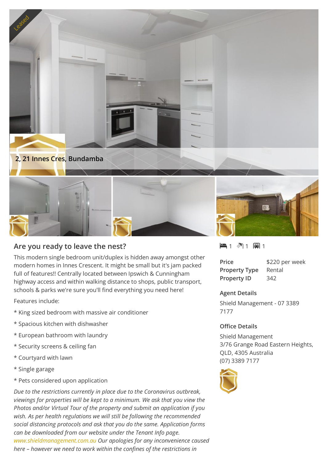

## **Are you ready to leave the nest?**

This modern single bedroom unit/duplex is hidden away amongst other modern homes in Innes Crescent. It might be small but it's jam packed full of features!! Centrally located between Ipswich & Cunningham highway access and within walking distance to shops, public transport, schools & parks we're sure you'll find everything you need here!

Features include:

- \* King sized bedroom with massive air conditioner
- \* Spacious kitchen with dishwasher
- \* European bathroom with laundry
- \* Security screens & ceiling fan
- \* Courtyard with lawn
- \* Single garage
- \* Pets considered upon application

*Due to the restrictions currently in place due to the Coronavirus outbreak, viewings for properties will be kept to a minimum. We ask that you view the Photos and/or Virtual Tour of the property and submit an application if you wish. As per health regulations we will still be following the recommended social distancing protocols and ask that you do the same. Application forms can be downloaded from our website under the Tenant Info page. [www.shieldmanagement.com.au](https://www.shieldmanagement.com.au/) Our apologies for any inconvenience caused here – however we need to work within the confines of the restrictions in*



| Price                | \$220 per week |
|----------------------|----------------|
| <b>Property Type</b> | Rental         |
| <b>Property ID</b>   | 342            |

## **Agent Details**

Shield Management - 07 3389 7177

## **Office Details**

Shield Management 3/76 Grange Road Eastern Heights, QLD, 4305 Australia (07) 3389 7177